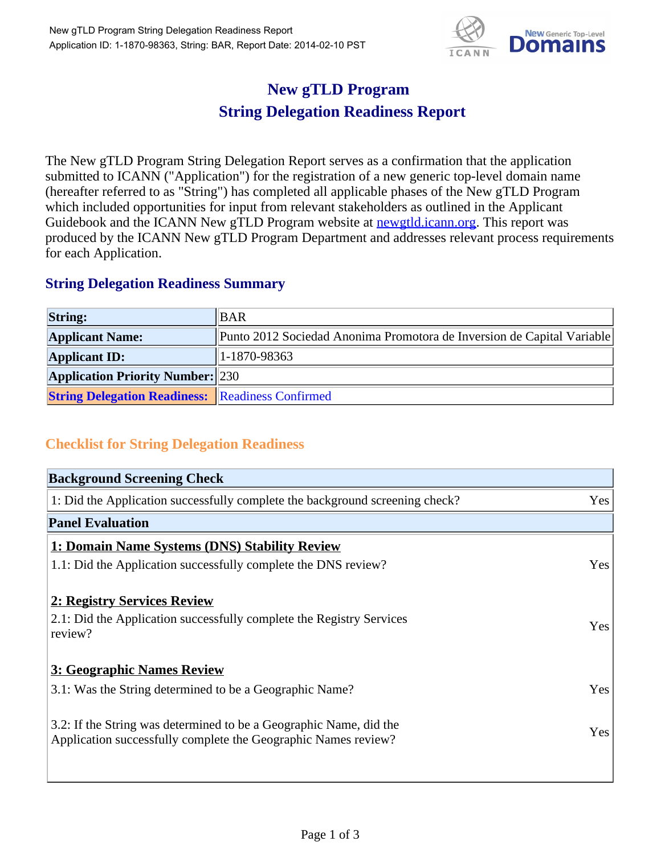

## **New gTLD Program String Delegation Readiness Report**

The New gTLD Program String Delegation Report serves as a confirmation that the application submitted to ICANN ("Application") for the registration of a new generic top-level domain name (hereafter referred to as "String") has completed all applicable phases of the New gTLD Program which included opportunities for input from relevant stakeholders as outlined in the Applicant Guidebook and the ICANN New gTLD Program website at **newgtld.jcann.org**. This report was produced by the ICANN New gTLD Program Department and addresses relevant process requirements for each Application.

## **String Delegation Readiness Summary**

| <b>String:</b>                                          | <b>BAR</b>                                                             |
|---------------------------------------------------------|------------------------------------------------------------------------|
| <b>Applicant Name:</b>                                  | Punto 2012 Sociedad Anonima Promotora de Inversion de Capital Variable |
| <b>Applicant ID:</b>                                    | $ 1 - 1870 - 98363 $                                                   |
| <b>Application Priority Number: 230</b>                 |                                                                        |
| <b>String Delegation Readiness:</b> Readiness Confirmed |                                                                        |

## **Checklist for String Delegation Readiness**

| Yes        |
|------------|
|            |
|            |
| Yes        |
|            |
| <b>Yes</b> |
|            |
| Yes        |
| Yes        |
|            |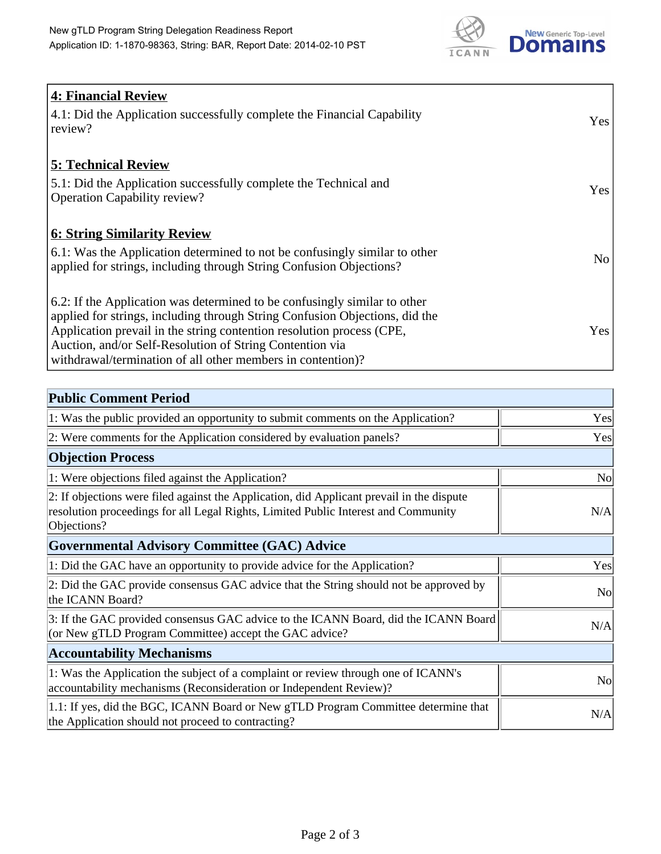

| <b>4: Financial Review</b><br>$\vert$ 4.1: Did the Application successfully complete the Financial Capability<br>review?                                                                                                                                                                                                                                     | <b>Yes</b> |
|--------------------------------------------------------------------------------------------------------------------------------------------------------------------------------------------------------------------------------------------------------------------------------------------------------------------------------------------------------------|------------|
| <b>5: Technical Review</b><br>5.1: Did the Application successfully complete the Technical and<br><b>Operation Capability review?</b>                                                                                                                                                                                                                        | <b>Yes</b> |
| <b>6: String Similarity Review</b><br>$\vert$ 6.1: Was the Application determined to not be confusingly similar to other<br>applied for strings, including through String Confusion Objections?                                                                                                                                                              | No         |
| 6.2: If the Application was determined to be confusingly similar to other<br>applied for strings, including through String Confusion Objections, did the<br>Application prevail in the string contention resolution process (CPE,<br>Auction, and/or Self-Resolution of String Contention via<br>withdrawal/termination of all other members in contention)? | Yes        |

| <b>Public Comment Period</b>                                                                                                                                                                   |                |
|------------------------------------------------------------------------------------------------------------------------------------------------------------------------------------------------|----------------|
| 1: Was the public provided an opportunity to submit comments on the Application?                                                                                                               | Yes            |
| 2: Were comments for the Application considered by evaluation panels?                                                                                                                          | Yes            |
| <b>Objection Process</b>                                                                                                                                                                       |                |
| 1: Were objections filed against the Application?                                                                                                                                              | <b>No</b>      |
| 2: If objections were filed against the Application, did Applicant prevail in the dispute<br>resolution proceedings for all Legal Rights, Limited Public Interest and Community<br>Objections? | N/A            |
| Governmental Advisory Committee (GAC) Advice                                                                                                                                                   |                |
| 1: Did the GAC have an opportunity to provide advice for the Application?                                                                                                                      | Yes            |
| 2: Did the GAC provide consensus GAC advice that the String should not be approved by<br>the ICANN Board?                                                                                      | <b>No</b>      |
| 3: If the GAC provided consensus GAC advice to the ICANN Board, did the ICANN Board<br>(or New gTLD Program Committee) accept the GAC advice?                                                  | N/A            |
| <b>Accountability Mechanisms</b>                                                                                                                                                               |                |
| 1: Was the Application the subject of a complaint or review through one of ICANN's<br>accountability mechanisms (Reconsideration or Independent Review)?                                       | N <sub>0</sub> |
| 1.1: If yes, did the BGC, ICANN Board or New gTLD Program Committee determine that<br>the Application should not proceed to contracting?                                                       | N/A            |